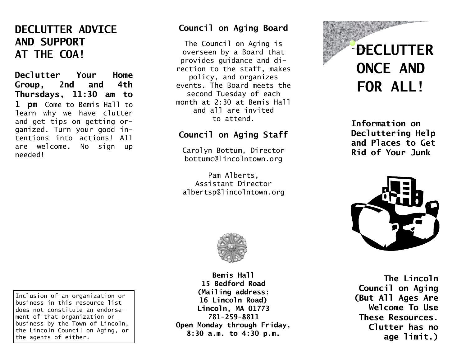# **DECLUTTER ADVICE AND SUPPORT AT THE COA!**

**Declutter Your Home Group, 2nd and 4th Thursdays, 11:30 am to 1 pm** Come to Bemis Hall to learn why we have clutter and get tips on getting organized. Turn your good intentions into actions! All are welcome. No sign up needed!

### **Council on Aging Board**

The Council on Aging is overseen by a Board that provides guidance and direction to the staff, makes policy, and organizes events. The Board meets the second Tuesday of each month at 2:30 at Bemis Hall and all are invited to attend.

# **Council on Aging Staff**

Carolyn Bottum, Director [bottumc@lincolntown.org](mailto:bottumc@lincolntown.org)

Pam Alberts, Assistant Director albertsp@lincolntown.org



**Bemis Hall 15 Bedford Road (Mailing address: 16 Lincoln Road) Lincoln, MA 01773 781-259-8811 Open Monday through Friday, 8:30 a.m. to 4:30 p.m.**



**Information on Decluttering Help and Places to Get Rid of Your Junk**



**The Lincoln Council on Aging (But All Ages Are Welcome To Use These Resources. Clutter has no age limit.)**

Inclusion of an organization or business in this resource list does not constitute an endorsement of that organization or business by the Town of Lincoln, the Lincoln Council on Aging, or the agents of either.